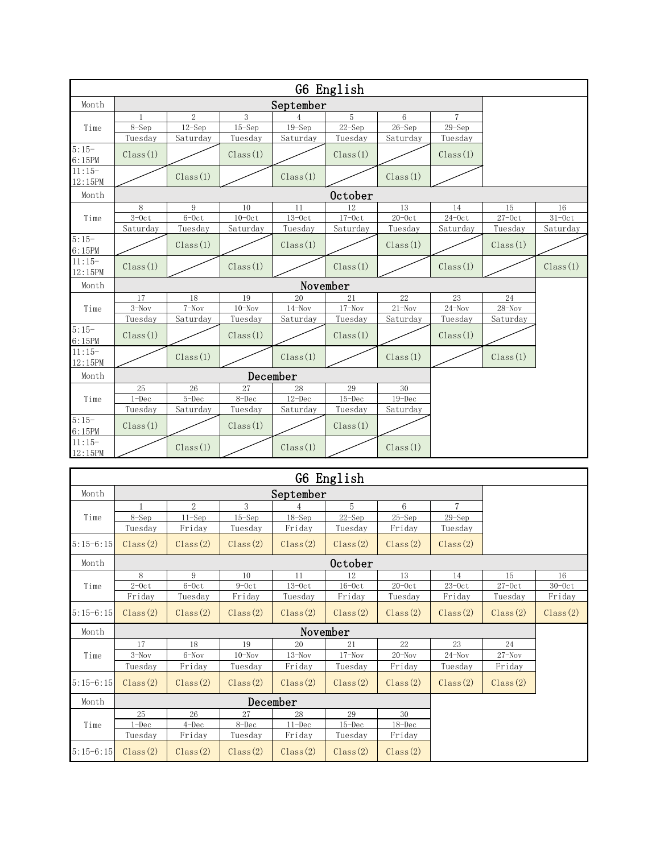|                     |                      |                       |             |                  | G6 English       |                      |                |             |            |  |  |
|---------------------|----------------------|-----------------------|-------------|------------------|------------------|----------------------|----------------|-------------|------------|--|--|
| Month               | September            |                       |             |                  |                  |                      |                |             |            |  |  |
|                     |                      | $\overline{2}$        | 3           |                  | $5\,$            | 6                    | $\overline{7}$ |             |            |  |  |
| Time                | $8-Sep$              | $12 -$ Sep            | $15 - Sep$  | $19-Sep$         | $22 - Sep$       | $26 - Sep$           | $29 -$ Sep     |             |            |  |  |
|                     | Tuesday              | Saturday              | Tuesday     | Saturday         | Tuesday          | Saturday             | Tuesday        |             |            |  |  |
| $5:15-$<br>6:15PM   | Class(1)             |                       | Class(1)    |                  | Class(1)         |                      | Class(1)       |             |            |  |  |
| $11:15-$<br>12:15PM |                      | Class(1)              |             | Class(1)         |                  | Class(1)             |                |             |            |  |  |
| Month               | October              |                       |             |                  |                  |                      |                |             |            |  |  |
|                     | 8                    | 9                     | 10          | 11               | 12               | 13                   | 14             | 15          | 16         |  |  |
| Time                | $3-0ct$              | $6-0ct$               | $10-0ct$    | $13-0ct$         | $17 - 0c$ t      | $20 - 0c$ t          | $24-0ct$       | $27 - 0c$ t | $31 - 0ct$ |  |  |
| $5:15-$             | Saturday             | Tuesday               | Saturday    | Tuesday          | Saturday         | Tuesday              | Saturday       | Tuesday     | Saturday   |  |  |
| 6:15PM              |                      | Class(1)              |             | Class(1)         |                  | Class(1)             |                | Class(1)    |            |  |  |
| $11:15-$<br>12:15PM | Class(1)             |                       | Class(1)    |                  | Class(1)         |                      | Class(1)       |             | Class(1)   |  |  |
| Month               |                      |                       |             |                  |                  |                      |                |             |            |  |  |
|                     | 17                   | 18                    | 19          | 20               | 21               | 22                   | 23             | 24          |            |  |  |
| Time                | $3-Nov$              | $7-Nov$               | $10 - Nov$  | $14 - Nov$       | $17 - Nov$       | $21 - Nov$           | $24 - Nov$     | $28 - Nov$  |            |  |  |
|                     | Tuesday              | Saturday              | Tuesday     | Saturday         | Tuesday          | Saturday             | Tuesday        | Saturday    |            |  |  |
| $5:15-$<br>6:15PM   | Class(1)             |                       | Class(1)    |                  | Class(1)         |                      | Class(1)       |             |            |  |  |
| $11:15-$<br>12:15PM |                      | Class(1)              |             | Class(1)         |                  | Class(1)             |                | Class(1)    |            |  |  |
|                     |                      |                       |             |                  |                  |                      |                |             |            |  |  |
| Month               | December             |                       |             |                  |                  |                      |                |             |            |  |  |
| Time                | 25                   | 26                    | 27<br>8-Dec | 28<br>$12 - Dec$ | 29<br>$15 - Dec$ | $30\,$<br>$19 - Dec$ |                |             |            |  |  |
|                     | $1 - Dec$<br>Tuesday | $5 - Dec$<br>Saturday | Tuesday     | Saturday         | Tuesday          | Saturday             |                |             |            |  |  |
| $5:15-$<br>6:15PM   | Class(1)             |                       | Class(1)    |                  | Class(1)         |                      |                |             |            |  |  |
| $11:15-$<br>12:15PM |                      | Class(1)              |             | Class(1)         |                  | Class(1)             |                |             |            |  |  |

|             |           |           |            |            | G6 English |            |                |             |             |  |  |
|-------------|-----------|-----------|------------|------------|------------|------------|----------------|-------------|-------------|--|--|
| Month       | September |           |            |            |            |            |                |             |             |  |  |
|             |           | 2         | 3          |            | 5          | 6          | $\overline{7}$ |             |             |  |  |
| Time        | $8 - Sep$ | $11-Sep$  | $15 - Sep$ | $18 - Sep$ | $22 - Sep$ | $25 - Sep$ | $29 - Sep$     |             |             |  |  |
|             | Tuesday   | Friday    | Tuesday    | Friday     | Tuesday    | Friday     | Tuesday        |             |             |  |  |
| $5:15-6:15$ | Class(2)  | Class(2)  | Class(2)   | Class(2)   | Class(2)   | Class(2)   | Class(2)       |             |             |  |  |
| Month       | October   |           |            |            |            |            |                |             |             |  |  |
|             | 8         | 9         | 10         | 11         | 12         | 13         | 14             | 15          | 16          |  |  |
| Time        | $2 - 0ct$ | $6-0ct$   | $9-0ct$    | $13-0ct$   | $16-0ct$   | $20-0ct$   | $23-0ct$       | $27 - 0c$ t | $30 - 0c$ t |  |  |
|             | Friday    | Tuesday   | Friday     | Tuesday    | Friday     | Tuesday    | Friday         | Tuesday     | Friday      |  |  |
| $5:15-6:15$ | Class(2)  | Class(2)  | Class(2)   | Class(2)   | Class(2)   | Class(2)   | Class(2)       | Class(2)    | Class(2)    |  |  |
| Month       |           |           |            |            |            |            |                |             |             |  |  |
|             | 17        | 18        | 19         | 20         | 21         | 22         | 23             | 24          |             |  |  |
| Time        | $3-Nov$   | $6-Nov$   | $10 -$ Nov | $13 - Nov$ | $17 - Nov$ | $20 - Nov$ | $24 - Nov$     | $27 - Nov$  |             |  |  |
|             | Tuesday   | Friday    | Tuesday    | Friday     | Tuesday    | Friday     | Tuesday        | Friday      |             |  |  |
| $5:15-6:15$ | Class(2)  | Class(2)  | Class(2)   | Class(2)   | Class(2)   | Class(2)   | Class(2)       | Class(2)    |             |  |  |
| Month       |           |           |            |            |            |            |                |             |             |  |  |
|             | 25        | 26        | 27         | 28         | 29         | 30         |                |             |             |  |  |
| Time        | $1 - Dec$ | $4 - Dec$ | 8-Dec      | $11 - Dec$ | $15 - Dec$ | $18 - Dec$ |                |             |             |  |  |
|             | Tuesday   | Friday    | Tuesday    | Friday     | Tuesday    | Friday     |                |             |             |  |  |
| $5:15-6:15$ | Class(2)  | Class(2)  | Class(2)   | Class(2)   | Class(2)   | Class(2)   |                |             |             |  |  |